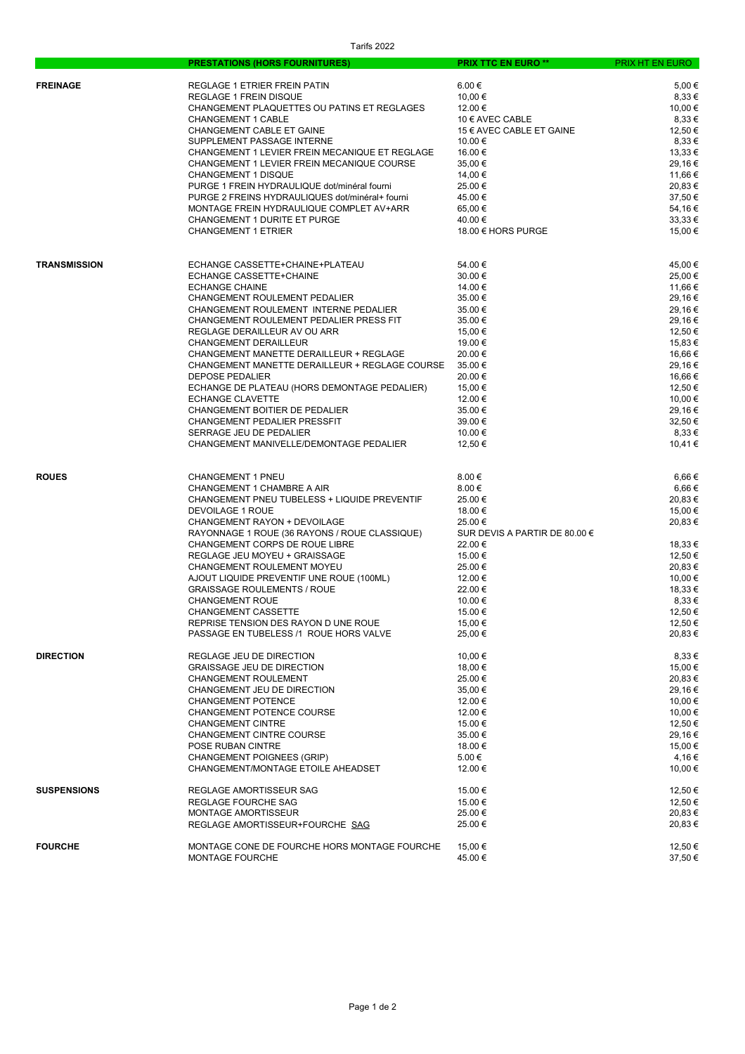|                     | <b>PRESTATIONS (HORS FOURNITURES)</b>           | <b>PRIX TTC EN EURO **</b>    | PRIX HT EN EURO |
|---------------------|-------------------------------------------------|-------------------------------|-----------------|
|                     |                                                 |                               |                 |
| <b>FREINAGE</b>     | REGLAGE 1 ETRIER FREIN PATIN                    | $6.00 \in$                    | 5,00€           |
|                     | <b>REGLAGE 1 FREIN DISQUE</b>                   | 10,00 €                       | 8,33 €          |
|                     | CHANGEMENT PLAQUETTES OU PATINS ET REGLAGES     | 12.00 €                       | 10,00 €         |
|                     | <b>CHANGEMENT 1 CABLE</b>                       | 10 € AVEC CABLE               | 8,33 €          |
|                     | CHANGEMENT CABLE ET GAINE                       | 15 € AVEC CABLE ET GAINE      | 12,50 €         |
|                     | SUPPLEMENT PASSAGE INTERNE                      | 10.00 €                       | 8,33 €          |
|                     | CHANGEMENT 1 LEVIER FREIN MECANIQUE ET REGLAGE  | 16.00 €                       | 13,33 €         |
|                     | CHANGEMENT 1 LEVIER FREIN MECANIQUE COURSE      | 35,00 €                       | 29,16€          |
|                     | <b>CHANGEMENT 1 DISQUE</b>                      | 14,00 €                       | 11,66 €         |
|                     | PURGE 1 FREIN HYDRAULIQUE dot/minéral fourni    | 25.00 €                       | 20,83€          |
|                     | PURGE 2 FREINS HYDRAULIQUES dot/minéral+ fourni | 45.00 €                       | 37.50 €         |
|                     | MONTAGE FREIN HYDRAULIQUE COMPLET AV+ARR        | 65,00 €                       | 54,16€          |
|                     | <b>CHANGEMENT 1 DURITE ET PURGE</b>             | 40.00 €                       | 33.33 €         |
|                     | <b>CHANGEMENT 1 ETRIER</b>                      | 18.00 € HORS PURGE            | 15,00 €         |
|                     |                                                 |                               |                 |
| <b>TRANSMISSION</b> | ECHANGE CASSETTE+CHAINE+PLATEAU                 | 54.00 €                       | 45,00 €         |
|                     | ECHANGE CASSETTE+CHAINE                         | 30.00 €                       | 25,00€          |
|                     | <b>ECHANGE CHAINE</b>                           | 14.00 €                       | 11,66 €         |
|                     | CHANGEMENT ROULEMENT PEDALIER                   | 35.00 €                       | 29,16€          |
|                     | CHANGEMENT ROULEMENT INTERNE PEDALIER           | 35.00 €                       | 29,16€          |
|                     | CHANGEMENT ROULEMENT PEDALIER PRESS FIT         | 35.00 €                       | 29,16€          |
|                     | REGLAGE DERAILLEUR AV OU ARR                    | 15,00 €                       | 12,50 €         |
|                     | CHANGEMENT DERAILLEUR                           | 19.00 €                       | 15,83 €         |
|                     | CHANGEMENT MANETTE DERAILLEUR + REGLAGE         | 20.00 €                       | 16,66 €         |
|                     | CHANGEMENT MANETTE DERAILLEUR + REGLAGE COURSE  | 35.00 €                       | 29,16€          |
|                     | <b>DEPOSE PEDALIER</b>                          | 20.00 €                       | 16,66 €         |
|                     |                                                 |                               |                 |
|                     | ECHANGE DE PLATEAU (HORS DEMONTAGE PEDALIER)    | 15,00 €                       | 12,50 €         |
|                     | ECHANGE CLAVETTE                                | 12.00 €                       | 10,00 €         |
|                     | CHANGEMENT BOITIER DE PEDALIER                  | 35.00 €                       | 29,16€          |
|                     | CHANGEMENT PEDALIER PRESSFIT                    | 39.00 €                       | 32,50 €         |
|                     | SERRAGE JEU DE PEDALIER                         | 10.00 €                       | 8,33 €          |
|                     | CHANGEMENT MANIVELLE/DEMONTAGE PEDALIER         | 12,50 €                       | 10,41 €         |
| <b>ROUES</b>        | <b>CHANGEMENT 1 PNEU</b>                        | $8.00 \in$                    | 6,66€           |
|                     | CHANGEMENT 1 CHAMBRE A AIR                      | 8.00€                         | 6,66€           |
|                     | CHANGEMENT PNEU TUBELESS + LIQUIDE PREVENTIF    | 25.00 €                       | 20,83€          |
|                     |                                                 |                               |                 |
|                     | <b>DEVOILAGE 1 ROUE</b>                         | 18.00 €                       | 15,00 €         |
|                     | CHANGEMENT RAYON + DEVOILAGE                    | 25.00 €                       | 20,83€          |
|                     | RAYONNAGE 1 ROUE (36 RAYONS / ROUE CLASSIQUE)   | SUR DEVIS A PARTIR DE 80.00 € |                 |
|                     | CHANGEMENT CORPS DE ROUE LIBRE                  | 22.00 €                       | 18,33 €         |
|                     | REGLAGE JEU MOYEU + GRAISSAGE                   | 15.00 €                       | 12,50 €         |
|                     | CHANGEMENT ROULEMENT MOYEU                      | 25.00 €                       | 20,83€          |
|                     | AJOUT LIQUIDE PREVENTIF UNE ROUE (100ML)        | 12.00 €                       | 10,00 €         |
|                     | <b>GRAISSAGE ROULEMENTS / ROUE</b>              | 22.00 €                       | 18.33 €         |
|                     | <b>CHANGEMENT ROUE</b>                          | 10.00 €                       | 8,33€           |
|                     | CHANGEMENT CASSETTE                             | 15.00 €                       | 12,50 €         |
|                     | REPRISE TENSION DES RAYON D UNE ROUE            | 15,00 €                       | 12,50 €         |
|                     | PASSAGE EN TUBELESS /1 ROUE HORS VALVE          | 25,00 €                       | 20,83€          |
| <b>DIRECTION</b>    | REGLAGE JEU DE DIRECTION                        | 10,00 €                       | 8,33 €          |
|                     | <b>GRAISSAGE JEU DE DIRECTION</b>               | 18,00 €                       | 15,00 €         |
|                     | CHANGEMENT ROULEMENT                            | 25.00 €                       | 20,83€          |
|                     | CHANGEMENT JEU DE DIRECTION                     | 35,00 €                       | 29,16€          |
|                     | <b>CHANGEMENT POTENCE</b>                       | 12.00 €                       | 10,00 €         |
|                     | CHANGEMENT POTENCE COURSE                       | 12.00 €                       | 10,00 €         |
|                     | <b>CHANGEMENT CINTRE</b>                        | 15.00 €                       | 12,50 €         |
|                     | <b>CHANGEMENT CINTRE COURSE</b>                 | 35.00 €                       | 29,16€          |
|                     | POSE RUBAN CINTRE                               | 18.00 €                       | 15,00 €         |
|                     | <b>CHANGEMENT POIGNEES (GRIP)</b>               | 5.00 €                        | 4,16€           |
|                     | CHANGEMENT/MONTAGE ETOILE AHEADSET              | 12.00 €                       | 10,00 €         |
| <b>SUSPENSIONS</b>  | REGLAGE AMORTISSEUR SAG                         | 15.00 €                       | 12,50 €         |
|                     | REGLAGE FOURCHE SAG                             | 15.00 €                       | 12,50 €         |
|                     | <b>MONTAGE AMORTISSEUR</b>                      | 25.00 €                       | 20,83€          |
|                     | REGLAGE AMORTISSEUR+FOURCHE SAG                 | 25.00 €                       | 20,83€          |
| <b>FOURCHE</b>      | MONTAGE CONE DE FOURCHE HORS MONTAGE FOURCHE    | 15,00 €                       | 12,50 €         |
|                     | <b>MONTAGE FOURCHE</b>                          | 45.00 €                       | 37,50 €         |